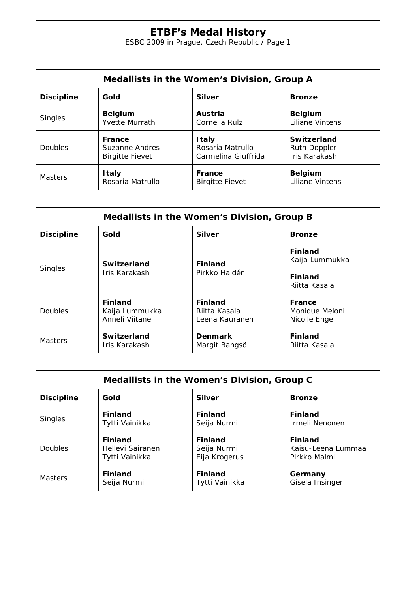| Medallists in the Women's Division, Group A |                                        |                        |                        |  |  |
|---------------------------------------------|----------------------------------------|------------------------|------------------------|--|--|
| <b>Discipline</b>                           | Gold<br><b>Silver</b><br><b>Bronze</b> |                        |                        |  |  |
| <b>Singles</b>                              | <b>Belgium</b>                         | Austria                | <b>Belgium</b>         |  |  |
|                                             | <b>Yvette Murrath</b>                  | Cornelia Rulz          | <b>Liliane Vintens</b> |  |  |
| Doubles                                     | France                                 | <b>Italy</b>           | Switzerland            |  |  |
|                                             | Suzanne Andres                         | Rosaria Matrullo       | <b>Ruth Doppler</b>    |  |  |
|                                             | <b>Birgitte Fievet</b>                 | Carmelina Giuffrida    | Iris Karakash          |  |  |
| <b>Masters</b>                              | <b>Italy</b>                           | France                 | <b>Belgium</b>         |  |  |
|                                             | Rosaria Matrullo                       | <b>Birgitte Fievet</b> | <b>Liliane Vintens</b> |  |  |

| Medallists in the Women's Division, Group B |                                                    |                                                   |                                                                     |  |  |
|---------------------------------------------|----------------------------------------------------|---------------------------------------------------|---------------------------------------------------------------------|--|--|
| <b>Discipline</b>                           | Gold<br><b>Silver</b><br><b>Bronze</b>             |                                                   |                                                                     |  |  |
| <b>Singles</b>                              | <b>Switzerland</b><br>Iris Karakash                | <b>Finland</b><br>Pirkko Haldén                   | <b>Finland</b><br>Kaija Lummukka<br><b>Finland</b><br>Riitta Kasala |  |  |
| <b>Doubles</b>                              | <b>Finland</b><br>Kaija Lummukka<br>Anneli Viitane | <b>Finland</b><br>Riitta Kasala<br>Leena Kauranen | France<br>Monique Meloni<br>Nicolle Engel                           |  |  |
| <b>Masters</b>                              | <b>Switzerland</b><br>Iris Karakash                | <b>Denmark</b><br>Margit Bangsö                   | <b>Finland</b><br>Riitta Kasala                                     |  |  |

| Medallists in the Women's Division, Group C |                  |                |                    |  |
|---------------------------------------------|------------------|----------------|--------------------|--|
| <b>Discipline</b>                           | Gold             | <b>Silver</b>  | <b>Bronze</b>      |  |
| <b>Singles</b>                              | <b>Finland</b>   | <b>Finland</b> | <b>Finland</b>     |  |
|                                             | Tytti Vainikka   | Seija Nurmi    | Irmeli Nenonen     |  |
| <b>Doubles</b>                              | <b>Finland</b>   | <b>Finland</b> | <b>Finland</b>     |  |
|                                             | Hellevi Sairanen | Seija Nurmi    | Kaisu-Leena Lummaa |  |
|                                             | Tytti Vainikka   | Eija Krogerus  | Pirkko Malmi       |  |
| <b>Masters</b>                              | <b>Finland</b>   | <b>Finland</b> | Germany            |  |
|                                             | Seija Nurmi      | Tytti Vainikka | Gisela Insinger    |  |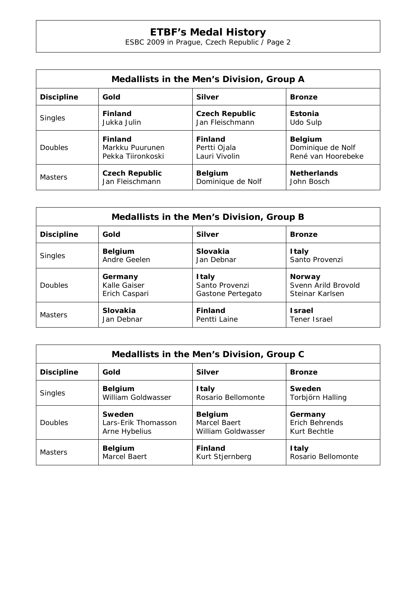| Medallists in the Men's Division, Group A |                                        |                       |                    |  |  |
|-------------------------------------------|----------------------------------------|-----------------------|--------------------|--|--|
| <b>Discipline</b>                         | Gold<br><b>Silver</b><br><b>Bronze</b> |                       |                    |  |  |
| <b>Singles</b>                            | <b>Finland</b>                         | <b>Czech Republic</b> | Estonia            |  |  |
|                                           | Jukka Julin                            | Jan Fleischmann       | Udo Sulp           |  |  |
| <b>Doubles</b>                            | <b>Finland</b>                         | <b>Finland</b>        | <b>Belgium</b>     |  |  |
|                                           | Markku Puurunen                        | Pertti Ojala          | Dominique de Nolf  |  |  |
|                                           | Pekka Tiironkoski                      | Lauri Vivolin         | René van Hoorebeke |  |  |
| <b>Masters</b>                            | <b>Czech Republic</b>                  | <b>Belgium</b>        | <b>Netherlands</b> |  |  |
|                                           | Jan Fleischmann                        | Dominique de Nolf     | John Bosch         |  |  |

| Medallists in the Men's Division, Group B |                                        |                   |                     |  |  |
|-------------------------------------------|----------------------------------------|-------------------|---------------------|--|--|
| <b>Discipline</b>                         | Gold<br><b>Silver</b><br><b>Bronze</b> |                   |                     |  |  |
| <b>Singles</b>                            | <b>Belgium</b>                         | Slovakia          | <b>Italy</b>        |  |  |
|                                           | Andre Geelen                           | Jan Debnar        | Santo Provenzi      |  |  |
| Doubles                                   | Germany                                | <b>Italy</b>      | <b>Norway</b>       |  |  |
|                                           | Kalle Gaiser                           | Santo Provenzi    | Svenn Arild Brovold |  |  |
|                                           | Erich Caspari                          | Gastone Pertegato | Steinar Karlsen     |  |  |
| <b>Masters</b>                            | Slovakia                               | <b>Finland</b>    | <b>Israel</b>       |  |  |
|                                           | Jan Debnar                             | Pentti Laine      | Tener Israel        |  |  |

| Medallists in the Men's Division, Group C                   |                     |                    |                    |  |  |
|-------------------------------------------------------------|---------------------|--------------------|--------------------|--|--|
| <b>Discipline</b><br>Gold<br><b>Silver</b><br><b>Bronze</b> |                     |                    |                    |  |  |
| <b>Singles</b>                                              | <b>Belgium</b>      | <b>Italy</b>       | Sweden             |  |  |
|                                                             | William Goldwasser  | Rosario Bellomonte | Torbjörn Halling   |  |  |
| <b>Doubles</b>                                              | Sweden              | <b>Belgium</b>     | Germany            |  |  |
|                                                             | Lars-Erik Thomasson | Marcel Baert       | Erich Behrends     |  |  |
|                                                             | Arne Hybelius       | William Goldwasser | Kurt Bechtle       |  |  |
| <b>Masters</b>                                              | <b>Belgium</b>      | <b>Finland</b>     | <b>Italy</b>       |  |  |
|                                                             | Marcel Baert        | Kurt Stjernberg    | Rosario Bellomonte |  |  |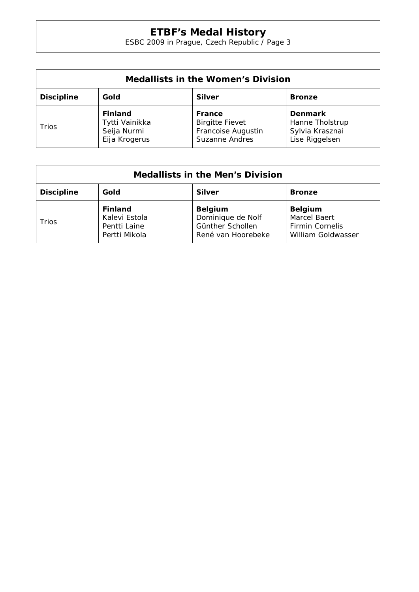| <b>Medallists in the Women's Division</b>                   |                                                                  |                                                                                 |                                                                        |  |
|-------------------------------------------------------------|------------------------------------------------------------------|---------------------------------------------------------------------------------|------------------------------------------------------------------------|--|
| Gold<br><b>Discipline</b><br><b>Silver</b><br><b>Bronze</b> |                                                                  |                                                                                 |                                                                        |  |
| Trios                                                       | <b>Finland</b><br>Tytti Vainikka<br>Seija Nurmi<br>Eija Krogerus | France<br><b>Birgitte Fievet</b><br>Francoise Augustin<br><b>Suzanne Andres</b> | <b>Denmark</b><br>Hanne Tholstrup<br>Sylvia Krasznai<br>Lise Riggelsen |  |

| <b>Medallists in the Men's Division</b>                     |                                                                  |                                                                               |                                                                                       |  |
|-------------------------------------------------------------|------------------------------------------------------------------|-------------------------------------------------------------------------------|---------------------------------------------------------------------------------------|--|
| Gold<br><b>Discipline</b><br><b>Silver</b><br><b>Bronze</b> |                                                                  |                                                                               |                                                                                       |  |
| Trios                                                       | <b>Finland</b><br>Kalevi Estola<br>Pentti Laine<br>Pertti Mikola | <b>Belgium</b><br>Dominique de Nolf<br>Günther Schollen<br>René van Hoorebeke | <b>Belgium</b><br><b>Marcel Baert</b><br><b>Firmin Cornelis</b><br>William Goldwasser |  |